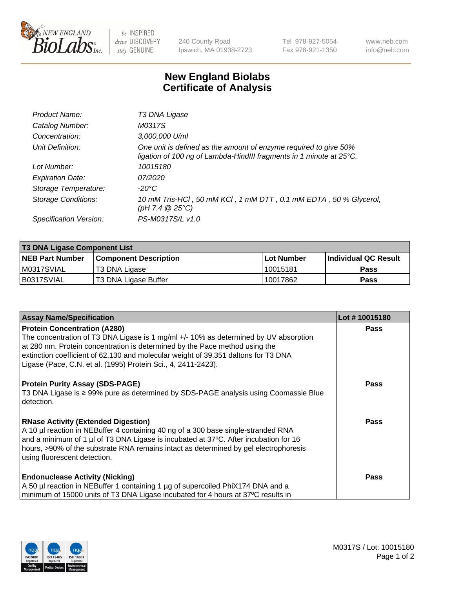

 $be$  INSPIRED drive DISCOVERY stay GENUINE

240 County Road Ipswich, MA 01938-2723 Tel 978-927-5054 Fax 978-921-1350 www.neb.com info@neb.com

## **New England Biolabs Certificate of Analysis**

| Product Name:              | T3 DNA Ligase                                                                                                                           |
|----------------------------|-----------------------------------------------------------------------------------------------------------------------------------------|
| Catalog Number:            | M0317S                                                                                                                                  |
| Concentration:             | 3,000,000 U/ml                                                                                                                          |
| Unit Definition:           | One unit is defined as the amount of enzyme required to give 50%<br>ligation of 100 ng of Lambda-HindIII fragments in 1 minute at 25°C. |
| Lot Number:                | 10015180                                                                                                                                |
| <b>Expiration Date:</b>    | 07/2020                                                                                                                                 |
| Storage Temperature:       | $-20^{\circ}$ C                                                                                                                         |
| <b>Storage Conditions:</b> | 10 mM Tris-HCl, 50 mM KCl, 1 mM DTT, 0.1 mM EDTA, 50 % Glycerol,<br>$(pH 7.4 \ @ 25^{\circ}C)$                                          |
| Specification Version:     | PS-M0317S/L v1.0                                                                                                                        |

| <b>T3 DNA Ligase Component List</b> |                              |              |                      |  |  |
|-------------------------------------|------------------------------|--------------|----------------------|--|--|
| <b>NEB Part Number</b>              | <b>Component Description</b> | l Lot Number | Individual QC Result |  |  |
| M0317SVIAL                          | T3 DNA Ligase                | l 10015181   | <b>Pass</b>          |  |  |
| B0317SVIAL                          | T3 DNA Ligase Buffer         | 10017862     | Pass                 |  |  |

| <b>Assay Name/Specification</b>                                                                                                                                                                                                                                                                                                                                   | Lot #10015180 |
|-------------------------------------------------------------------------------------------------------------------------------------------------------------------------------------------------------------------------------------------------------------------------------------------------------------------------------------------------------------------|---------------|
| <b>Protein Concentration (A280)</b><br>The concentration of T3 DNA Ligase is 1 mg/ml +/- 10% as determined by UV absorption<br>at 280 nm. Protein concentration is determined by the Pace method using the<br>extinction coefficient of 62,130 and molecular weight of 39,351 daltons for T3 DNA<br>Ligase (Pace, C.N. et al. (1995) Protein Sci., 4, 2411-2423). | <b>Pass</b>   |
| <b>Protein Purity Assay (SDS-PAGE)</b><br>T3 DNA Ligase is ≥ 99% pure as determined by SDS-PAGE analysis using Coomassie Blue<br>detection.                                                                                                                                                                                                                       | <b>Pass</b>   |
| <b>RNase Activity (Extended Digestion)</b><br>A 10 µl reaction in NEBuffer 4 containing 40 ng of a 300 base single-stranded RNA<br>and a minimum of 1 µl of T3 DNA Ligase is incubated at 37°C. After incubation for 16<br>hours, >90% of the substrate RNA remains intact as determined by gel electrophoresis<br>using fluorescent detection.                   | Pass          |
| <b>Endonuclease Activity (Nicking)</b><br>A 50 µl reaction in NEBuffer 1 containing 1 µg of supercoiled PhiX174 DNA and a<br>minimum of 15000 units of T3 DNA Ligase incubated for 4 hours at 37°C results in                                                                                                                                                     | <b>Pass</b>   |